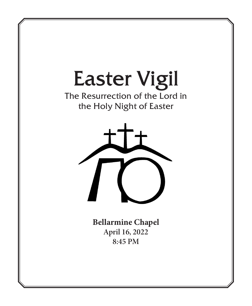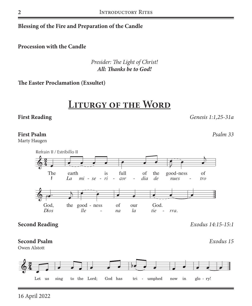#### Blessing of the Fire and Preparation of the Candle

**Procession with the Candle** 

Presider: The Light of Christ! All: Thanks be to God!

The Easter Proclamation (Exsultet)

## **LITURGY OF THE WORD**

#### **First Reading**

#### **First Psalm**

Marty Haugen



#### **Second Reading**

#### **Second Psalm**

Owen Alstott



Genesis 1:1,25-31a

Exodus 14:15-15:1

Exodus 15

Psalm 33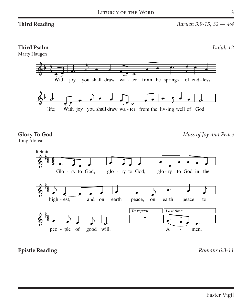#### **Third Psalm**

Marty Haugen

*Isaiah 12*



**Glory To God** Tony Alonso  $1.6$  God indeed is my Savior, I will never be a fraid,  $1.6$  will never be afraid,  $1.6$  will never be afraid,  $1.6$  will never be a fraid,  $1.6$  will never be a fraid,  $1.6$  will never be a fraid,  $1.6$  will never be a  $\mathbf{u}$ 

*Mass of Joy and Peace*



**Epistle Reading** *Romans 6:3-11* 

2. Lord Jesus Christ, Only Begotten Son,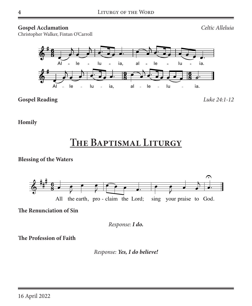#### **Gospel Acclamation**

 $Celtic$  *Alleluia* 

Christopher Walker, Fintan O'Carroll



 $M_{\rm H}$  , the 1995, Fintan O'Carroll and Christopher Walker. Published by OCP. All rights reserved. Published by OCP. All rights reserved. Published by OCP. All rights reserved. Published by OCP. All rights reserved. Pub **Gospel Reading** *Luke 24:1-12*

**Homily**

# **The Baptismal Liturgy**

**Blessing of the Waters**



� � Verses *Cantor:* **The Renunciation of Sin**

�� � � � *Response: I do.*

ssion of **The Profession of Faith** 

> action espon  $\overline{d}$   $\overline{d}$  $s, t$ i<br>Loli ven  $\eta$ en - *Response: Yes, I do believe!*

> > $\frac{1}{2}$

 $\frac{1}{2}$ 

 $\ddot{\phantom{a}}$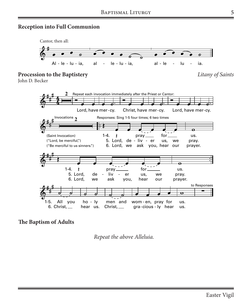#### **Reception into Full Communion**



**The Baptism of Adults**

*Repeat the above Alleluia.*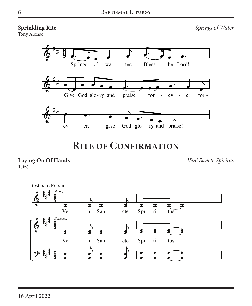#### **Sprinkling Rite**

Tony Alonso

*Springs of Water*



# **Rite of Confirmation**

**Laying On Of Hands** Taizé

*Veni Sancte Spiritus*

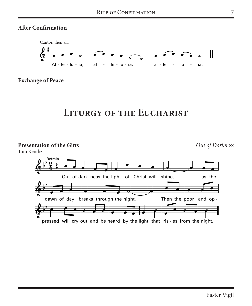### **After Confirmation**



**Exchange of Peace**

## **Liturgy of the Eucharist**

**Presentation of the Gifts**

**Out <sup>O</sup>** *Out of Darkness* **f Darkness**

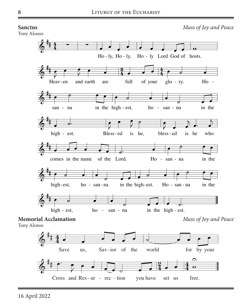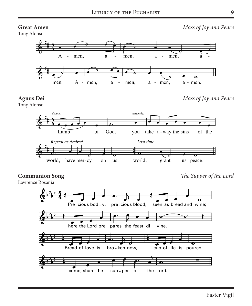### **Great Amen**

Tony Alonso

*Mass of Joy and Peace*





*Mass of Joy and Peace*



## $$

Lawrence Rosania

*The Supper of the Lord*  $\overline{11}$ 

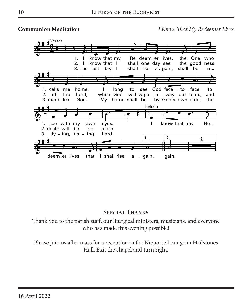

### **Special Thanks**

Thank you to the parish staff, our liturgical ministers, musicians, and everyone who has made this evening possible!

Please join us after mass for a reception in the Nieporte Lounge in Hailstones Hall. Exit the chapel and turn right.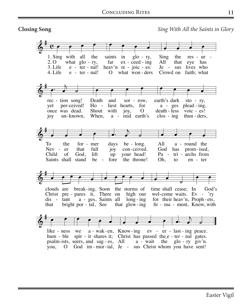#### **Closing Song**